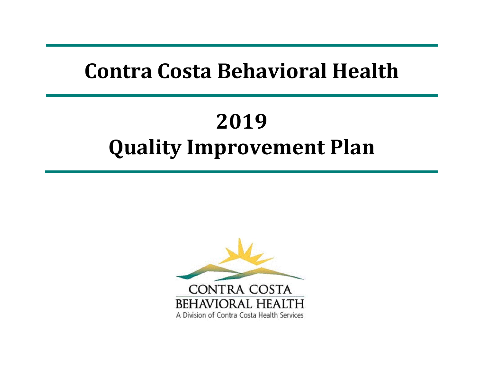## **Contra Costa Behavioral Health**

# **2019Quality Improvement Plan**

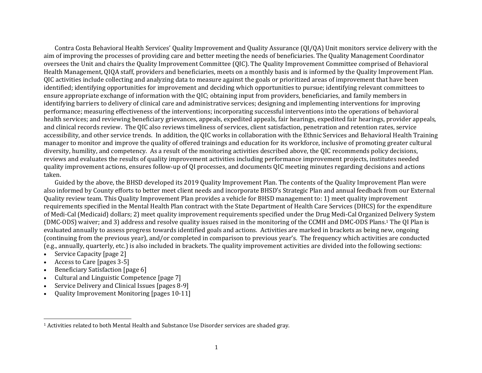Contra Costa Behavioral Health Services' Quality Improvement and Quality Assurance (QI/QA) Unit monitors service delivery with the aim of improving the processes of providing care and better meeting the needs of beneficiaries. The Quality Management Coordinator oversees the Unit and chairs the Quality Improvement Committee (QIC). The Quality Improvement Committee comprised of Behavioral Health Management, QIQA staff, providers and beneficiaries, meets on a monthly basis and is informed by the Quality Improvement Plan. OIC activities include collecting and analyzing data to measure against the goals or prioritized areas of improvement that have been identified; identifying opportunities for improvement and deciding which opportunities to pursue; identifying relevant committees to ensure appropriate exchange of information with the QIC; obtaining input from providers, beneficiaries, and family members in identifying barriers to delivery of clinical care and administrative services; designing and implementing interventions for improving performance; measuring effectiveness of the interventions; incorporating successful interventions into the operations of behavioral health services; and reviewing beneficiary grievances, appeals, expedited appeals, fair hearings, expedited fair hearings, provider appeals, and clinical records review. The OIC also reviews timeliness of services, client satisfaction, penetration and retention rates, service accessibility, and other service trends. In addition, the QIC works in collaboration with the Ethnic Services and Behavioral Health Training manager to monitor and improve the quality of offered trainings and education for its workforce, inclusive of promoting greater cultural diversity, humility, and competency. As a result of the monitoring activities described above, the OIC recommends policy decisions, reviews and evaluates the results of quality improvement activities including performance improvement projects, institutes needed quality improvement actions, ensures follow-up of QI processes, and documents QIC meeting minutes regarding decisions and actions taken. 

Guided by the above, the BHSD developed its 2019 Quality Improvement Plan. The contents of the Quality Improvement Plan were also informed by County efforts to better meet client needs and incorporate BHSD's Strategic Plan and annual feedback from our External Quality review team. This Quality Improvement Plan provides a vehicle for BHSD management to: 1) meet quality improvement requirements specified in the Mental Health Plan contract with the State Department of Health Care Services (DHCS) for the expenditure of Medi-Cal (Medicaid) dollars; 2) meet quality improvement requirements specified under the Drug Medi-Cal Organized Delivery System (DMC-ODS) waiver; and 3) address and resolve quality issues raised in the monitoring of the CCMH and DMC-ODS Plans.<sup>1</sup> The QI Plan is evaluated annually to assess progress towards identified goals and actions. Activities are marked in brackets as being new, ongoing (continuing from the previous year), and/or completed in comparison to previous year's. The frequency which activities are conducted (e.g., annually, quarterly, etc.) is also included in brackets. The quality improvement activities are divided into the following sections:

- c Service Capacity [page 2]
- c Access to Care [pages 3-5]
- c Beneficiary Satisfaction [page 6]
- c Cultural and Linguistic Competence [page 7]
- c Service Delivery and Clinical Issues [pages 8-9]
- c Quality Improvement Monitoring [pages 10-11]

<sup>&</sup>lt;sup>1</sup> Activities related to both Mental Health and Substance Use Disorder services are shaded gray.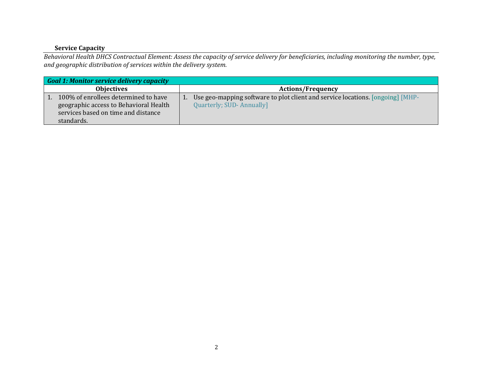#### **Service Capacity**

Behavioral Health DHCS Contractual Element: Assess the capacity of service delivery for beneficiaries, including monitoring the number, type, *and geographic distribution of services within the delivery system.*

|                                                                                                                                     | Goal 1: Monitor service delivery capacity |  |                                                                                                            |  |  |
|-------------------------------------------------------------------------------------------------------------------------------------|-------------------------------------------|--|------------------------------------------------------------------------------------------------------------|--|--|
| <b>Objectives</b>                                                                                                                   |                                           |  | <b>Actions/Frequency</b>                                                                                   |  |  |
| 100% of enrollees determined to have<br>geographic access to Behavioral Health<br>services based on time and distance<br>standards. |                                           |  | Use geo-mapping software to plot client and service locations. [ongoing] [MHP-<br>Quarterly; SUD-Annually] |  |  |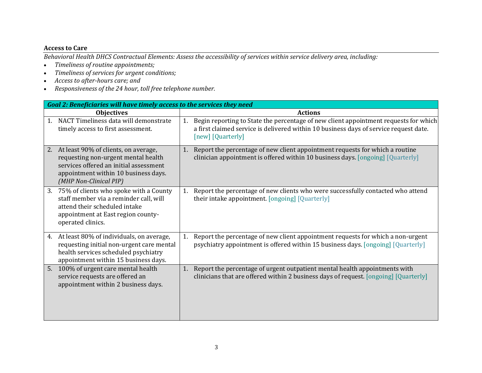#### **Access to Care**

Behavioral Health DHCS Contractual Elements: Assess the accessibility of services within service delivery area, including:

- $\bullet$ *Timeliness of routine appointments;*
- $\bullet$ *Timeliness of services for urgen<sup>t</sup> conditions;*
- $\bullet$ *Access to after‐hours care; and*
- *Responsiveness of the 24 hour, toll free telephone number.*

| Goal 2: Beneficiaries will have timely access to the services they need                                                                                                                       |                                                                                                                                                                                                          |  |  |  |
|-----------------------------------------------------------------------------------------------------------------------------------------------------------------------------------------------|----------------------------------------------------------------------------------------------------------------------------------------------------------------------------------------------------------|--|--|--|
| <b>Objectives</b>                                                                                                                                                                             | <b>Actions</b>                                                                                                                                                                                           |  |  |  |
| NACT Timeliness data will demonstrate<br>1.<br>timely access to first assessment.                                                                                                             | Begin reporting to State the percentage of new client appointment requests for which<br>1.<br>a first claimed service is delivered within 10 business days of service request date.<br>[new] [Quarterly] |  |  |  |
| At least 90% of clients, on average,<br>2.<br>requesting non-urgent mental health<br>services offered an initial assessment<br>appointment within 10 business days.<br>(MHP Non-Clinical PIP) | Report the percentage of new client appointment requests for which a routine<br>1.<br>clinician appointment is offered within 10 business days. [ongoing] [Quarterly]                                    |  |  |  |
| 75% of clients who spoke with a County<br>3.<br>staff member via a reminder call, will<br>attend their scheduled intake<br>appointment at East region county-<br>operated clinics.            | Report the percentage of new clients who were successfully contacted who attend<br>1.<br>their intake appointment. [ongoing] [Quarterly]                                                                 |  |  |  |
| At least 80% of individuals, on average,<br>4.<br>requesting initial non-urgent care mental<br>health services scheduled psychiatry<br>appointment within 15 business days.                   | Report the percentage of new client appointment requests for which a non-urgent<br>1.<br>psychiatry appointment is offered within 15 business days. [ongoing] [Quarterly]                                |  |  |  |
| 5. 100% of urgent care mental health<br>service requests are offered an<br>appointment within 2 business days.                                                                                | Report the percentage of urgent outpatient mental health appointments with<br>1.<br>clinicians that are offered within 2 business days of request. [ongoing] [Quarterly]                                 |  |  |  |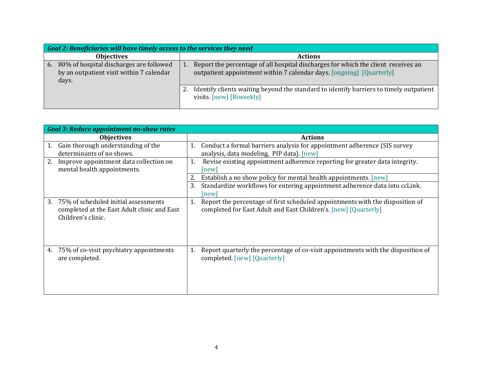|                   | <b>Goal 2: Beneficiaries will have timely access to the services they need</b>               |                |                                                                                                                                                           |  |
|-------------------|----------------------------------------------------------------------------------------------|----------------|-----------------------------------------------------------------------------------------------------------------------------------------------------------|--|
| <b>Objectives</b> |                                                                                              | <b>Actions</b> |                                                                                                                                                           |  |
| 6.                | 80% of hospital discharges are followed<br>by an outpatient visit within 7 calendar<br>days. |                | Report the percentage of all hospital discharges for which the client receives an<br>outpatient appointment within 7 calendar days. [ongoing] [Quarterly] |  |
|                   |                                                                                              |                | Identify clients waiting beyond the standard to identify barriers to timely outpatient<br>visits. [new] [Biweekly]                                        |  |

|    | <b>Goal 3: Reduce appointment no-show rates</b>                                                           |    |                                                                                                                                                  |  |
|----|-----------------------------------------------------------------------------------------------------------|----|--------------------------------------------------------------------------------------------------------------------------------------------------|--|
|    | <b>Objectives</b>                                                                                         |    | <b>Actions</b>                                                                                                                                   |  |
| 1. | Gain thorough understanding of the<br>determinants of no shows.                                           | 1. | Conduct a formal barriers analysis for appointment adherence (SIS survey<br>analysis, data modeling, PIP data). [new]                            |  |
|    | Improve appointment data collection on<br>mental health appointments.                                     | 1. | Revise existing appointment adherence reporting for greater data integrity.<br> new                                                              |  |
|    |                                                                                                           | 2. | Establish a no show policy for mental health appointments. [new]                                                                                 |  |
|    |                                                                                                           | 3. | Standardize workflows for entering appointment adherence data into ccLink.<br> new                                                               |  |
| 3. | 75% of scheduled initial assessments<br>completed at the East Adult clinic and East<br>Children's clinic. | 1. | Report the percentage of first scheduled appointments with the disposition of<br>completed for East Adult and East Children's. [new] [Quarterly] |  |
| 4. | 75% of co-visit psychiatry appointments<br>are completed.                                                 | 1. | Report quarterly the percentage of co-visit appointments with the disposition of<br>completed. [new] [Quarterly]                                 |  |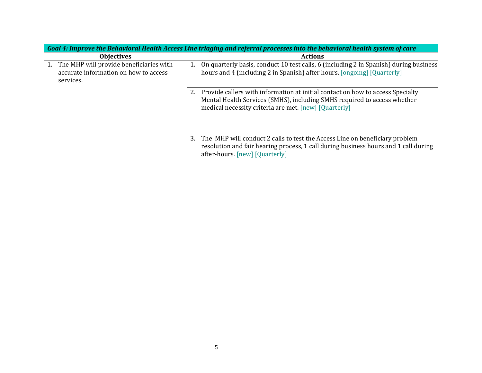| Goal 4: Improve the Behavioral Health Access Line triaging and referral processes into the behavioral health system of care |                                                                                                                                                                                                                        |  |  |
|-----------------------------------------------------------------------------------------------------------------------------|------------------------------------------------------------------------------------------------------------------------------------------------------------------------------------------------------------------------|--|--|
| <b>Objectives</b>                                                                                                           | <b>Actions</b>                                                                                                                                                                                                         |  |  |
| The MHP will provide beneficiaries with<br>accurate information on how to access<br>services.                               | On quarterly basis, conduct 10 test calls, 6 (including 2 in Spanish) during business<br>hours and 4 (including 2 in Spanish) after hours. [ongoing] [Quarterly]                                                       |  |  |
|                                                                                                                             | 2. Provide callers with information at initial contact on how to access Specialty<br>Mental Health Services (SMHS), including SMHS required to access whether<br>medical necessity criteria are met. [new] [Quarterly] |  |  |
|                                                                                                                             | The MHP will conduct 2 calls to test the Access Line on beneficiary problem<br>3.<br>resolution and fair hearing process, 1 call during business hours and 1 call during<br>after-hours. [new] [Quarterly]             |  |  |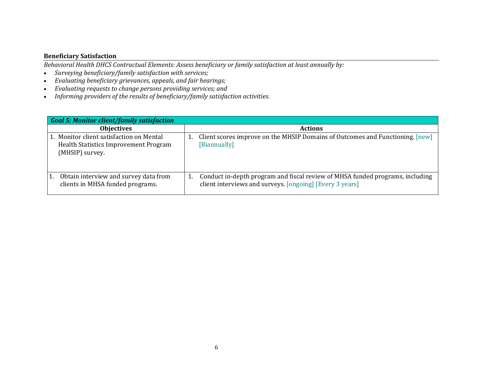#### **Beneficiary Satisfaction**

*Behavioral Health DHCS Contractual Elements: Assess beneficiary or family satisfaction at least annually by:*

- $\bullet$ *Surveying beneficiary/family satisfaction with services;*
- $\bullet$ *Evaluating beneficiary grievances, appeals, and fair hearings;*
- $\bullet$ *Evaluating requests to change persons providing services; and*
- $\bullet$ *Informing providers of the results of beneficiary/family satisfaction activities.*

| <b>Goal 5: Monitor client/family satisfaction</b>                                                    |                                                                                                                                                 |  |  |
|------------------------------------------------------------------------------------------------------|-------------------------------------------------------------------------------------------------------------------------------------------------|--|--|
| <b>Objectives</b>                                                                                    | <b>Actions</b>                                                                                                                                  |  |  |
| 1. Monitor client satisfaction on Mental<br>Health Statistics Improvement Program<br>(MHSIP) survey. | Client scores improve on the MHSIP Domains of Outcomes and Functioning. [new]<br>[Biannually]                                                   |  |  |
| Obtain interview and survey data from<br>1.<br>clients in MHSA funded programs.                      | Conduct in-depth program and fiscal review of MHSA funded programs, including<br>1.<br>client interviews and surveys. [ongoing] [Every 3 years] |  |  |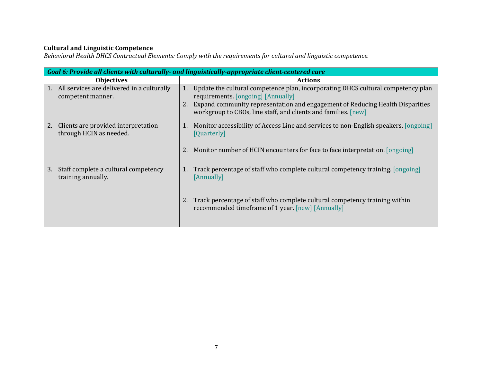#### **Cultural and Linguistic Competence**

*Behavioral Health DHCS Contractual Elements: Comply with the requirements for cultural and linguistic competence.*

| Goal 6: Provide all clients with culturally- and linguistically-appropriate client-centered care |                                                                                                                                                 |  |
|--------------------------------------------------------------------------------------------------|-------------------------------------------------------------------------------------------------------------------------------------------------|--|
| <b>Objectives</b>                                                                                | <b>Actions</b>                                                                                                                                  |  |
| All services are delivered in a culturally<br>1.<br>competent manner.                            | Update the cultural competence plan, incorporating DHCS cultural competency plan<br>1.<br>requirements. [ongoing] [Annually]                    |  |
|                                                                                                  | Expand community representation and engagement of Reducing Health Disparities<br>workgroup to CBOs, line staff, and clients and families. [new] |  |
| Clients are provided interpretation<br>2.<br>through HCIN as needed.                             | Monitor accessibility of Access Line and services to non-English speakers. [ongoing]<br>1.<br>[Quarterly]                                       |  |
|                                                                                                  | Monitor number of HCIN encounters for face to face interpretation. [ongoing]                                                                    |  |
| Staff complete a cultural competency<br>3.<br>training annually.                                 | Track percentage of staff who complete cultural competency training. [ongoing]<br>1.<br>[Annually]                                              |  |
|                                                                                                  | Track percentage of staff who complete cultural competency training within<br>recommended timeframe of 1 year. [new] [Annually]                 |  |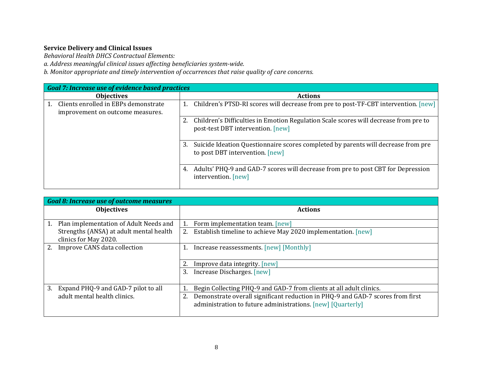#### **Service Delivery and Clinical Issues**

*Behavioral Health DHCS Contractual Elements:*

*a. Address meaningful clinical issues affecting beneficiaries system‐wide.*

*b. Monitor appropriate and timely intervention of occurrences that raise quality of care concerns.*

| <b>Goal 7: Increase use of evidence based practices</b>                  |                                                                                                                            |  |
|--------------------------------------------------------------------------|----------------------------------------------------------------------------------------------------------------------------|--|
| <b>Objectives</b>                                                        | <b>Actions</b>                                                                                                             |  |
| Clients enrolled in EBPs demonstrate<br>improvement on outcome measures. | Children's PTSD-RI scores will decrease from pre to post-TF-CBT intervention. [new]                                        |  |
|                                                                          | Children's Difficulties in Emotion Regulation Scale scores will decrease from pre to<br>post-test DBT intervention. [new]  |  |
|                                                                          | Suicide Ideation Questionnaire scores completed by parents will decrease from pre<br>3.<br>to post DBT intervention. [new] |  |
|                                                                          | Adults' PHQ-9 and GAD-7 scores will decrease from pre to post CBT for Depression<br>4.<br>intervention. [new]              |  |

|                   | <b>Goal 8: Increase use of outcome measures</b>                  |                                                                                                                                               |  |  |  |
|-------------------|------------------------------------------------------------------|-----------------------------------------------------------------------------------------------------------------------------------------------|--|--|--|
| <b>Objectives</b> |                                                                  | <b>Actions</b>                                                                                                                                |  |  |  |
|                   | Plan implementation of Adult Needs and                           | Form implementation team. [new]                                                                                                               |  |  |  |
|                   | Strengths (ANSA) at adult mental health<br>clinics for May 2020. | Establish timeline to achieve May 2020 implementation. [new]<br>2.                                                                            |  |  |  |
|                   | Improve CANS data collection                                     | Increase reassessments. [new] [Monthly]                                                                                                       |  |  |  |
|                   |                                                                  | Improve data integrity. [new]                                                                                                                 |  |  |  |
|                   |                                                                  | Increase Discharges. [new]<br>3.                                                                                                              |  |  |  |
| 3.                | Expand PHQ-9 and GAD-7 pilot to all                              | Begin Collecting PHQ-9 and GAD-7 from clients at all adult clinics.                                                                           |  |  |  |
|                   | adult mental health clinics.                                     | Demonstrate overall significant reduction in PHQ-9 and GAD-7 scores from first<br>administration to future administrations. [new] [Quarterly] |  |  |  |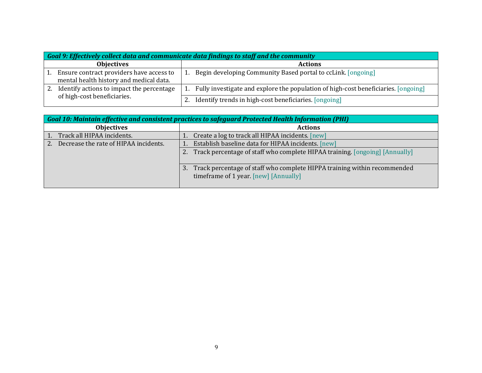|                   | Goal 9: Effectively collect data and communicate data findings to staff and the community |                                                                                    |  |  |
|-------------------|-------------------------------------------------------------------------------------------|------------------------------------------------------------------------------------|--|--|
| <b>Objectives</b> |                                                                                           | <b>Actions</b>                                                                     |  |  |
|                   | Ensure contract providers have access to<br>mental health history and medical data.       | Begin developing Community Based portal to ccLink. [ongoing]                       |  |  |
|                   | Identify actions to impact the percentage                                                 | Fully investigate and explore the population of high-cost beneficiaries. [ongoing] |  |  |
|                   | of high-cost beneficiaries.                                                               | Identify trends in high-cost beneficiaries. [ongoing]                              |  |  |

| Goal 10: Maintain effective and consistent practices to safeguard Protected Health Information (PHI) |                                                                                                                      |  |  |  |
|------------------------------------------------------------------------------------------------------|----------------------------------------------------------------------------------------------------------------------|--|--|--|
| <b>Objectives</b>                                                                                    | <b>Actions</b>                                                                                                       |  |  |  |
| Track all HIPAA incidents.                                                                           | Create a log to track all HIPAA incidents. [new]                                                                     |  |  |  |
| Decrease the rate of HIPAA incidents.<br>2.                                                          | Establish baseline data for HIPAA incidents. [new]                                                                   |  |  |  |
|                                                                                                      | 2. Track percentage of staff who complete HIPAA training. [ongoing] [Annually]                                       |  |  |  |
|                                                                                                      | 3. Track percentage of staff who complete HIPPA training within recommended<br>timeframe of 1 year. [new] [Annually] |  |  |  |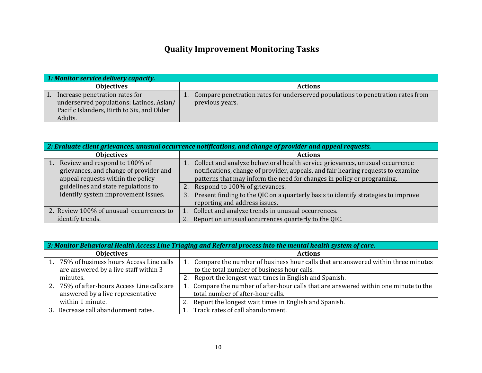### **Quality Improvement Monitoring Tasks**

| 1: Monitor service delivery capacity.                                                                                               |                                                                                                    |  |  |
|-------------------------------------------------------------------------------------------------------------------------------------|----------------------------------------------------------------------------------------------------|--|--|
| <b>Objectives</b>                                                                                                                   | <b>Actions</b>                                                                                     |  |  |
| Increase penetration rates for<br>underserved populations: Latinos, Asian/<br>Pacific Islanders, Birth to Six, and Older<br>Adults. | Compare penetration rates for underserved populations to penetration rates from<br>previous years. |  |  |

| $\vert$ 2: Evaluate client grievances, unusual occurrence notifications, and change of provider and appeal requests. |                                                                                                                                                                                                                                            |  |  |
|----------------------------------------------------------------------------------------------------------------------|--------------------------------------------------------------------------------------------------------------------------------------------------------------------------------------------------------------------------------------------|--|--|
| <b>Objectives</b>                                                                                                    | <b>Actions</b>                                                                                                                                                                                                                             |  |  |
| Review and respond to 100% of<br>grievances, and change of provider and<br>appeal requests within the policy         | Collect and analyze behavioral health service grievances, unusual occurrence<br>notifications, change of provider, appeals, and fair hearing requests to examine<br>patterns that may inform the need for changes in policy or programing. |  |  |
| guidelines and state regulations to<br>identify system improvement issues.                                           | 2. Respond to 100% of grievances.<br>Present finding to the QIC on a quarterly basis to identify strategies to improve<br>3.<br>reporting and address issues.                                                                              |  |  |
| 2. Review 100% of unusual occurrences to<br>identify trends.                                                         | Collect and analyze trends in unusual occurrences.<br>2. Report on unusual occurrences quarterly to the QIC.                                                                                                                               |  |  |

| $\mid$ 3: Monitor Behavioral Health Access Line Triaging and Referral process into the mental health system of care. |                                                                                      |  |
|----------------------------------------------------------------------------------------------------------------------|--------------------------------------------------------------------------------------|--|
| <b>Objectives</b>                                                                                                    | <b>Actions</b>                                                                       |  |
| 1. 75% of business hours Access Line calls                                                                           | Compare the number of business hour calls that are answered within three minutes     |  |
| are answered by a live staff within 3                                                                                | to the total number of business hour calls.                                          |  |
| minutes.                                                                                                             | Report the longest wait times in English and Spanish.                                |  |
| 2. 75% of after-hours Access Line calls are                                                                          | 1. Compare the number of after-hour calls that are answered within one minute to the |  |
| answered by a live representative                                                                                    | total number of after-hour calls.                                                    |  |
| within 1 minute.                                                                                                     | Report the longest wait times in English and Spanish.                                |  |
| 3. Decrease call abandonment rates.                                                                                  | Track rates of call abandonment.                                                     |  |